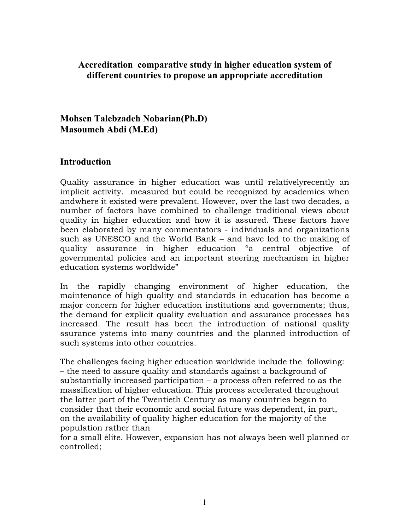## **Accreditation comparative study in higher education system of different countries to propose an appropriate accreditation**

**Mohsen Talebzadeh Nobarian(Ph.D) Masoumeh Abdi (M.Ed)**

### **Introduction**

Quality assurance in higher education was until relativelyrecently an implicit activity. measured but could be recognized by academics when andwhere it existed were prevalent. However, over the last two decades, a number of factors have combined to challenge traditional views about quality in higher education and how it is assured. These factors have been elaborated by many commentators - individuals and organizations such as UNESCO and the World Bank – and have led to the making of quality assurance in higher education "a central objective of governmental policies and an important steering mechanism in higher education systems worldwide"

In the rapidly changing environment of higher education, the maintenance of high quality and standards in education has become a major concern for higher education institutions and governments; thus, the demand for explicit quality evaluation and assurance processes has increased. The result has been the introduction of national quality ssurance ystems into many countries and the planned introduction of such systems into other countries.

The challenges facing higher education worldwide include the following: – the need to assure quality and standards against a background of substantially increased participation – a process often referred to as the massification of higher education. This process accelerated throughout the latter part of the Twentieth Century as many countries began to consider that their economic and social future was dependent, in part, on the availability of quality higher education for the majority of the population rather than

for a small élite. However, expansion has not always been well planned or controlled;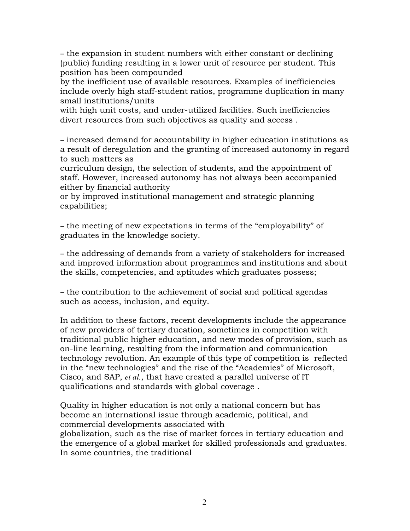− the expansion in student numbers with either constant or declining (public) funding resulting in a lower unit of resource per student. This position has been compounded

by the inefficient use of available resources. Examples of inefficiencies include overly high staff-student ratios, programme duplication in many small institutions/units

with high unit costs, and under-utilized facilities. Such inefficiencies divert resources from such objectives as quality and access .

− increased demand for accountability in higher education institutions as a result of deregulation and the granting of increased autonomy in regard to such matters as

curriculum design, the selection of students, and the appointment of staff. However, increased autonomy has not always been accompanied either by financial authority

or by improved institutional management and strategic planning capabilities;

− the meeting of new expectations in terms of the "employability" of graduates in the knowledge society.

− the addressing of demands from a variety of stakeholders for increased and improved information about programmes and institutions and about the skills, competencies, and aptitudes which graduates possess;

− the contribution to the achievement of social and political agendas such as access, inclusion, and equity.

In addition to these factors, recent developments include the appearance of new providers of tertiary ducation, sometimes in competition with traditional public higher education, and new modes of provision, such as on-line learning, resulting from the information and communication technology revolution. An example of this type of competition is reflected in the "new technologies" and the rise of the "Academies" of Microsoft, Cisco, and SAP, *et al.*, that have created a parallel universe of IT qualifications and standards with global coverage .

Quality in higher education is not only a national concern but has become an international issue through academic, political, and commercial developments associated with globalization, such as the rise of market forces in tertiary education and the emergence of a global market for skilled professionals and graduates. In some countries, the traditional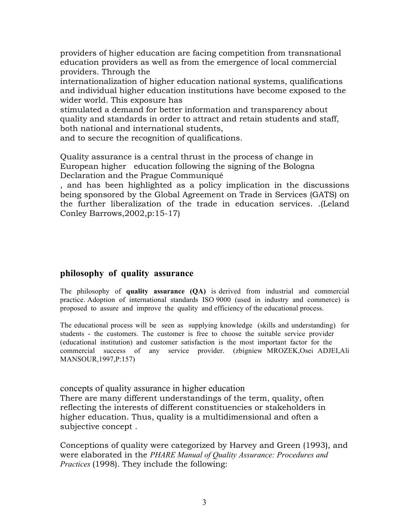providers of higher education are facing competition from transnational education providers as well as from the emergence of local commercial providers. Through the

internationalization of higher education national systems, qualifications and individual higher education institutions have become exposed to the wider world. This exposure has

stimulated a demand for better information and transparency about quality and standards in order to attract and retain students and staff, both national and international students,

and to secure the recognition of qualifications.

Quality assurance is a central thrust in the process of change in European higher education following the signing of the Bologna Declaration and the Prague Communiqué

, and has been highlighted as a policy implication in the discussions being sponsored by the Global Agreement on Trade in Services (GATS) on the further liberalization of the trade in education services. .(Leland Conley Barrows,2002,p:15-17)

## **philosophy of quality assurance**

The philosophy of **quality assurance (QA)** is derived from industrial and commercial practice. Adoption of international standards ISO 9000 (used in industry and commerce) is proposed to assure and improve the quality and efficiency of the educational process.

The educational process will be seen as supplying knowledge (skills and understanding) for students - the customers. The customer is free to choose the suitable service provider (educational institution) and customer satisfaction is the most important factor for the commercial success of any service provider. (zbigniew MROZEK,Osei ADJEI,Ali MANSOUR,1997,P:157)

concepts of quality assurance in higher education There are many different understandings of the term, quality, often reflecting the interests of different constituencies or stakeholders in higher education. Thus, quality is a multidimensional and often a subjective concept .

Conceptions of quality were categorized by Harvey and Green (1993), and were elaborated in the *PHARE Manual of Quality Assurance: Procedures and Practices* (1998). They include the following: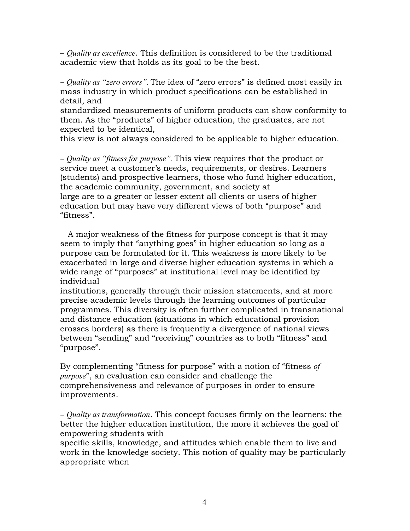– *Quality as excellence*. This definition is considered to be the traditional academic view that holds as its goal to be the best.

− *Quality as "zero errors".* The idea of "zero errors" is defined most easily in mass industry in which product specifications can be established in detail, and

standardized measurements of uniform products can show conformity to them. As the "products" of higher education, the graduates, are not expected to be identical,

this view is not always considered to be applicable to higher education.

− *Quality as "fitness for purpose".* This view requires that the product or service meet a customer's needs, requirements, or desires. Learners (students) and prospective learners, those who fund higher education, the academic community, government, and society at large are to a greater or lesser extent all clients or users of higher education but may have very different views of both "purpose" and "fitness".

 A major weakness of the fitness for purpose concept is that it may seem to imply that "anything goes" in higher education so long as a purpose can be formulated for it. This weakness is more likely to be exacerbated in large and diverse higher education systems in which a wide range of "purposes" at institutional level may be identified by individual

institutions, generally through their mission statements, and at more precise academic levels through the learning outcomes of particular programmes. This diversity is often further complicated in transnational and distance education (situations in which educational provision crosses borders) as there is frequently a divergence of national views between "sending" and "receiving" countries as to both "fitness" and "purpose".

By complementing "fitness for purpose" with a notion of "fitness *of purpose*", an evaluation can consider and challenge the comprehensiveness and relevance of purposes in order to ensure improvements.

− *Quality as transformation*. This concept focuses firmly on the learners: the better the higher education institution, the more it achieves the goal of empowering students with

specific skills, knowledge, and attitudes which enable them to live and work in the knowledge society. This notion of quality may be particularly appropriate when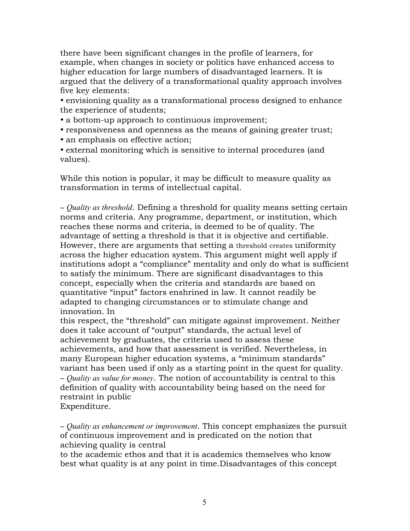there have been significant changes in the profile of learners, for example, when changes in society or politics have enhanced access to higher education for large numbers of disadvantaged learners. It is argued that the delivery of a transformational quality approach involves five key elements:

• envisioning quality as a transformational process designed to enhance the experience of students;

- a bottom-up approach to continuous improvement;
- responsiveness and openness as the means of gaining greater trust;
- an emphasis on effective action;

• external monitoring which is sensitive to internal procedures (and values).

While this notion is popular, it may be difficult to measure quality as transformation in terms of intellectual capital.

− *Quality as threshold*. Defining a threshold for quality means setting certain norms and criteria. Any programme, department, or institution, which reaches these norms and criteria, is deemed to be of quality. The advantage of setting a threshold is that it is objective and certifiable. However, there are arguments that setting a threshold creates uniformity across the higher education system. This argument might well apply if institutions adopt a "compliance" mentality and only do what is sufficient to satisfy the minimum. There are significant disadvantages to this concept, especially when the criteria and standards are based on quantitative "input" factors enshrined in law. It cannot readily be adapted to changing circumstances or to stimulate change and innovation. In

this respect, the "threshold" can mitigate against improvement. Neither does it take account of "output" standards, the actual level of achievement by graduates, the criteria used to assess these achievements, and how that assessment is verified. Nevertheless, in many European higher education systems, a "minimum standards" variant has been used if only as a starting point in the quest for quality. − *Quality as value for money*. The notion of accountability is central to this definition of quality with accountability being based on the need for restraint in public

Expenditure.

− *Quality as enhancement or improvement*. This concept emphasizes the pursuit of continuous improvement and is predicated on the notion that achieving quality is central

to the academic ethos and that it is academics themselves who know best what quality is at any point in time.Disadvantages of this concept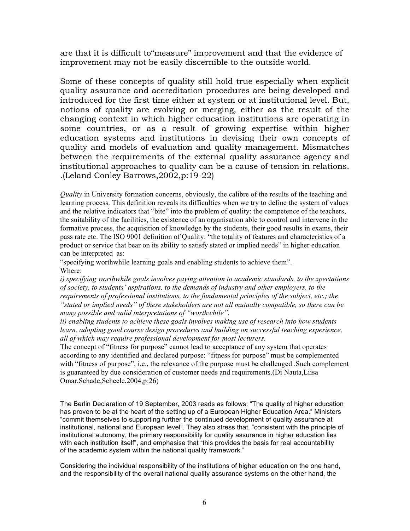are that it is difficult to"measure" improvement and that the evidence of improvement may not be easily discernible to the outside world.

Some of these concepts of quality still hold true especially when explicit quality assurance and accreditation procedures are being developed and introduced for the first time either at system or at institutional level. But, notions of quality are evolving or merging, either as the result of the changing context in which higher education institutions are operating in some countries, or as a result of growing expertise within higher education systems and institutions in devising their own concepts of quality and models of evaluation and quality management. Mismatches between the requirements of the external quality assurance agency and institutional approaches to quality can be a cause of tension in relations. .(Leland Conley Barrows,2002,p:19-22)

*Quality* in University formation concerns, obviously, the calibre of the results of the teaching and learning process. This definition reveals its difficulties when we try to define the system of values and the relative indicators that "bite" into the problem of quality: the competence of the teachers, the suitability of the facilities, the existence of an organisation able to control and intervene in the formative process, the acquisition of knowledge by the students, their good results in exams, their pass rate etc. The ISO 9001 definition of Quality: "the totality of features and characteristics of a product or service that bear on its ability to satisfy stated or implied needs" in higher education can be interpreted as:

"specifying worthwhile learning goals and enabling students to achieve them". Where:

*i) specifying worthwhile goals involves paying attention to academic standards, to the xpectations of society, to students' aspirations, to the demands of industry and other employers, to the requirements of professional institutions, to the fundamental principles of the subject, etc.; the "stated or implied needs" of these stakeholders are not all mutually compatible, so there can be many possible and valid interpretations of "worthwhile".*

*ii) enabling students to achieve these goals involves making use of research into how students learn, adopting good course design procedures and building on successful teaching experience, all of which may require professional development for most lecturers.*

The concept of "fitness for purpose" cannot lead to acceptance of any system that operates according to any identified and declared purpose: "fitness for purpose" must be complemented with "fitness of purpose", i.e., the relevance of the purpose must be challenged .Such complement is guaranteed by due consideration of customer needs and requirements.(Di Nauta,Liisa Omar,Schade,Scheele,2004,p:26)

The Berlin Declaration of 19 September, 2003 reads as follows: "The quality of higher education has proven to be at the heart of the setting up of a European Higher Education Area." Ministers "commit themselves to supporting further the continued development of quality assurance at institutional, national and European level". They also stress that, "consistent with the principle of institutional autonomy, the primary responsibility for quality assurance in higher education lies with each institution itself", and emphasise that "this provides the basis for real accountability of the academic system within the national quality framework."

Considering the individual responsibility of the institutions of higher education on the one hand, and the responsibility of the overall national quality assurance systems on the other hand, the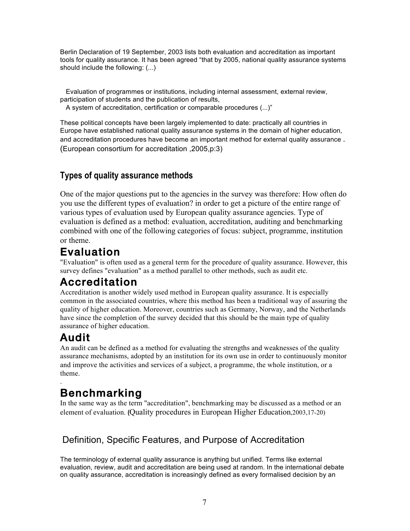Berlin Declaration of 19 September, 2003 lists both evaluation and accreditation as important tools for quality assurance. It has been agreed "that by 2005, national quality assurance systems should include the following: (...)

 Evaluation of programmes or institutions, including internal assessment, external review, participation of students and the publication of results,

A system of accreditation, certification or comparable procedures (...)"

These political concepts have been largely implemented to date: practically all countries in Europe have established national quality assurance systems in the domain of higher education, and accreditation procedures have become an important method for external quality assurance . (European consortium for accreditation ,2005,p:3)

## **Types of quality assurance methods**

One of the major questions put to the agencies in the survey was therefore: How often do you use the different types of evaluation? in order to get a picture of the entire range of various types of evaluation used by European quality assurance agencies. Type of evaluation is defined as a method: evaluation, accreditation, auditing and benchmarking combined with one of the following categories of focus: subject, programme, institution or theme.

# Evaluation

"Evaluation" is often used as a general term for the procedure of quality assurance. However, this survey defines "evaluation" as a method parallel to other methods, such as audit etc.

# Accreditation

Accreditation is another widely used method in European quality assurance. It is especially common in the associated countries, where this method has been a traditional way of assuring the quality of higher education. Moreover, countries such as Germany, Norway, and the Netherlands have since the completion of the survey decided that this should be the main type of quality assurance of higher education.

# Audit

An audit can be defined as a method for evaluating the strengths and weaknesses of the quality assurance mechanisms, adopted by an institution for its own use in order to continuously monitor and improve the activities and services of a subject, a programme, the whole institution, or a theme.

## . Benchmarking

In the same way as the term "accreditation", benchmarking may be discussed as a method or an element of evaluation. (Quality procedures in European Higher Education,2003,17-20)

# Definition, Specific Features, and Purpose of Accreditation

The terminology of external quality assurance is anything but unified. Terms like external evaluation, review, audit and accreditation are being used at random. In the international debate on quality assurance, accreditation is increasingly defined as every formalised decision by an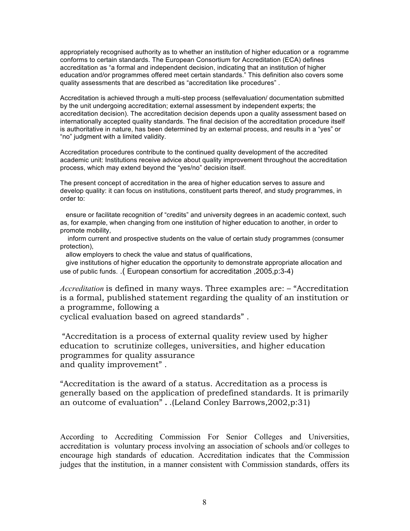appropriately recognised authority as to whether an institution of higher education or a rogramme conforms to certain standards. The European Consortium for Accreditation (ECA) defines accreditation as "a formal and independent decision, indicating that an institution of higher education and/or programmes offered meet certain standards." This definition also covers some quality assessments that are described as "accreditation like procedures" .

Accreditation is achieved through a multi-step process (selfevaluation/ documentation submitted by the unit undergoing accreditation; external assessment by independent experts; the accreditation decision). The accreditation decision depends upon a quality assessment based on internationally accepted quality standards. The final decision of the accreditation procedure itself is authoritative in nature, has been determined by an external process, and results in a "yes" or "no" judgment with a limited validity.

Accreditation procedures contribute to the continued quality development of the accredited academic unit: Institutions receive advice about quality improvement throughout the accreditation process, which may extend beyond the "yes/no" decision itself.

The present concept of accreditation in the area of higher education serves to assure and develop quality: it can focus on institutions, constituent parts thereof, and study programmes, in order to:

 ensure or facilitate recognition of "credits" and university degrees in an academic context, such as, for example, when changing from one institution of higher education to another, in order to promote mobility,

 inform current and prospective students on the value of certain study programmes (consumer protection),

allow employers to check the value and status of qualifications,

 give institutions of higher education the opportunity to demonstrate appropriate allocation and use of public funds. .( European consortium for accreditation ,2005,p:3-4)

*Accreditation* is defined in many ways. Three examples are: – "Accreditation is a formal, published statement regarding the quality of an institution or a programme, following a

cyclical evaluation based on agreed standards" .

"Accreditation is a process of external quality review used by higher education to scrutinize colleges, universities, and higher education programmes for quality assurance and quality improvement" .

"Accreditation is the award of a status. Accreditation as a process is generally based on the application of predefined standards. It is primarily an outcome of evaluation" **.** .(Leland Conley Barrows,2002,p:31)

According to Accrediting Commission For Senior Colleges and Universities, accreditation is voluntary process involving an association of schools and/or colleges to encourage high standards of education. Accreditation indicates that the Commission judges that the institution, in a manner consistent with Commission standards, offers its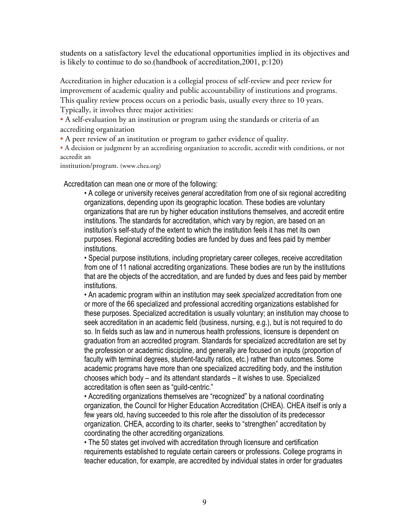students on a satisfactory level the educational opportunities implied in its objectives and is likely to continue to do so.(handbook of accreditation,2001, p:120)

Accreditation in higher education is a collegial process of self-review and peer review for improvement of academic quality and public accountability of institutions and programs. This quality review process occurs on a periodic basis, usually every three to 10 years.

Typically, it involves three major activities:

• A self-evaluation by an institution or program using the standards or criteria of an accrediting organization

• A peer review of an institution or program to gather evidence of quality.

• A decision or judgment by an accrediting organization to accredit, accredit with conditions, or not accredit an

institution/program. (www.chea.org)

Accreditation can mean one or more of the following:

• A college or university receives *general* accreditation from one of six regional accrediting organizations, depending upon its geographic location. These bodies are voluntary organizations that are run by higher education institutions themselves, and accredit entire institutions. The standards for accreditation, which vary by region, are based on an institution's self-study of the extent to which the institution feels it has met its own purposes. Regional accrediting bodies are funded by dues and fees paid by member institutions.

• Special purpose institutions, including proprietary career colleges, receive accreditation from one of 11 national accrediting organizations. These bodies are run by the institutions that are the objects of the accreditation, and are funded by dues and fees paid by member institutions.

• An academic program within an institution may seek *specialized* accreditation from one or more of the 66 specialized and professional accrediting organizations established for these purposes. Specialized accreditation is usually voluntary; an institution may choose to seek accreditation in an academic field (business, nursing, e.g.), but is not required to do so. In fields such as law and in numerous health professions, licensure is dependent on graduation from an accredited program. Standards for specialized accreditation are set by the profession or academic discipline, and generally are focused on inputs (proportion of faculty with terminal degrees, student-faculty ratios, etc.) rather than outcomes. Some academic programs have more than one specialized accrediting body, and the institution chooses which body – and its attendant standards – it wishes to use. Specialized accreditation is often seen as "guild-centric."

• Accrediting organizations themselves are "recognized" by a national coordinating organization, the Council for Higher Education Accreditation (CHEA). CHEA itself is only a few years old, having succeeded to this role after the dissolution of its predecessor organization. CHEA, according to its charter, seeks to "strengthen" accreditation by coordinating the other accrediting organizations.

• The 50 states get involved with accreditation through licensure and certification requirements established to regulate certain careers or professions. College programs in teacher education, for example, are accredited by individual states in order for graduates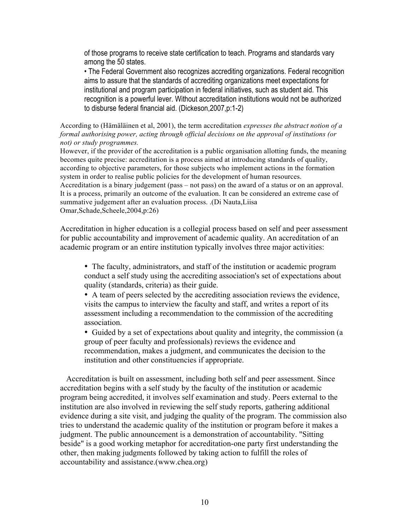of those programs to receive state certification to teach. Programs and standards vary among the 50 states.

• The Federal Government also recognizes accrediting organizations. Federal recognition aims to assure that the standards of accrediting organizations meet expectations for institutional and program participation in federal initiatives, such as student aid. This recognition is a powerful lever. Without accreditation institutions would not be authorized to disburse federal financial aid. (Dickeson,2007,p:1-2)

According to (Hämäläinen et al, 2001), the term accreditation *expresses the abstract notion of a formal authorising power, acting through official decisions on the approval of institutions (or not) or study programmes.*

However, if the provider of the accreditation is a public organisation allotting funds, the meaning becomes quite precise: accreditation is a process aimed at introducing standards of quality, according to objective parameters, for those subjects who implement actions in the formation system in order to realise public policies for the development of human resources. Accreditation is a binary judgement (pass – not pass) on the award of a status or on an approval. It is a process, primarily an outcome of the evaluation. It can be considered an extreme case of summative judgement after an evaluation process. .(Di Nauta,Liisa Omar,Schade,Scheele,2004,p:26)

Accreditation in higher education is a collegial process based on self and peer assessment for public accountability and improvement of academic quality. An accreditation of an academic program or an entire institution typically involves three major activities:

• The faculty, administrators, and staff of the institution or academic program conduct a self study using the accrediting association's set of expectations about quality (standards, criteria) as their guide.

• A team of peers selected by the accrediting association reviews the evidence, visits the campus to interview the faculty and staff, and writes a report of its assessment including a recommendation to the commission of the accrediting association.

• Guided by a set of expectations about quality and integrity, the commission (a group of peer faculty and professionals) reviews the evidence and recommendation, makes a judgment, and communicates the decision to the institution and other constituencies if appropriate.

 Accreditation is built on assessment, including both self and peer assessment. Since accreditation begins with a self study by the faculty of the institution or academic program being accredited, it involves self examination and study. Peers external to the institution are also involved in reviewing the self study reports, gathering additional evidence during a site visit, and judging the quality of the program. The commission also tries to understand the academic quality of the institution or program before it makes a judgment. The public announcement is a demonstration of accountability. "Sitting beside" is a good working metaphor for accreditation-one party first understanding the other, then making judgments followed by taking action to fulfill the roles of accountability and assistance.(www.chea.org)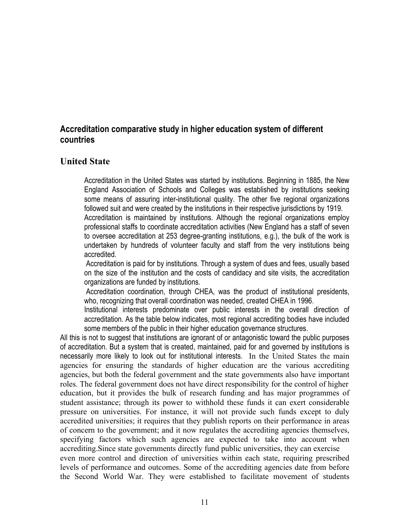### **Accreditation comparative study in higher education system of different countries**

### **United State**

Accreditation in the United States was started by institutions. Beginning in 1885, the New England Association of Schools and Colleges was established by institutions seeking some means of assuring inter-institutional quality. The other five regional organizations followed suit and were created by the institutions in their respective jurisdictions by 1919. Accreditation is maintained by institutions. Although the regional organizations employ professional staffs to coordinate accreditation activities (New England has a staff of seven to oversee accreditation at 253 degree-granting institutions, e.g.), the bulk of the work is undertaken by hundreds of volunteer faculty and staff from the very institutions being accredited.

Accreditation is paid for by institutions. Through a system of dues and fees, usually based on the size of the institution and the costs of candidacy and site visits, the accreditation organizations are funded by institutions.

Accreditation coordination, through CHEA, was the product of institutional presidents, who, recognizing that overall coordination was needed, created CHEA in 1996.

Institutional interests predominate over public interests in the overall direction of accreditation. As the table below indicates, most regional accrediting bodies have included some members of the public in their higher education governance structures.

All this is not to suggest that institutions are ignorant of or antagonistic toward the public purposes of accreditation. But a system that is created, maintained, paid for and governed by institutions is necessarily more likely to look out for institutional interests. In the United States the main agencies for ensuring the standards of higher education are the various accrediting agencies, but both the federal government and the state governments also have important roles. The federal government does not have direct responsibility for the control of higher education, but it provides the bulk of research funding and has major programmes of student assistance; through its power to withhold these funds it can exert considerable pressure on universities. For instance, it will not provide such funds except to duly accredited universities; it requires that they publish reports on their performance in areas of concern to the government; and it now regulates the accrediting agencies themselves, specifying factors which such agencies are expected to take into account when accrediting.Since state governments directly fund public universities, they can exercise even more control and direction of universities within each state, requiring prescribed levels of performance and outcomes. Some of the accrediting agencies date from before the Second World War. They were established to facilitate movement of students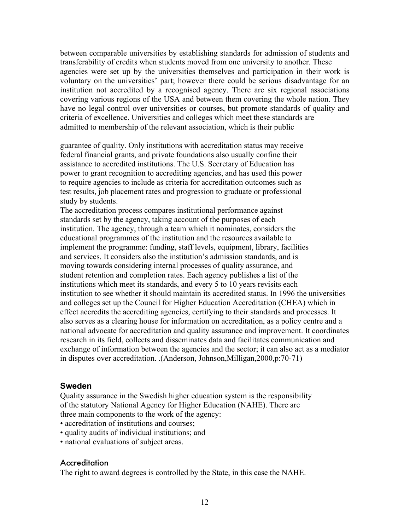between comparable universities by establishing standards for admission of students and transferability of credits when students moved from one university to another. These agencies were set up by the universities themselves and participation in their work is voluntary on the universities' part; however there could be serious disadvantage for an institution not accredited by a recognised agency. There are six regional associations covering various regions of the USA and between them covering the whole nation. They have no legal control over universities or courses, but promote standards of quality and criteria of excellence. Universities and colleges which meet these standards are admitted to membership of the relevant association, which is their public

guarantee of quality. Only institutions with accreditation status may receive federal financial grants, and private foundations also usually confine their assistance to accredited institutions. The U.S. Secretary of Education has power to grant recognition to accrediting agencies, and has used this power to require agencies to include as criteria for accreditation outcomes such as test results, job placement rates and progression to graduate or professional study by students.

The accreditation process compares institutional performance against standards set by the agency, taking account of the purposes of each institution. The agency, through a team which it nominates, considers the educational programmes of the institution and the resources available to implement the programme: funding, staff levels, equipment, library, facilities and services. It considers also the institution's admission standards, and is moving towards considering internal processes of quality assurance, and student retention and completion rates. Each agency publishes a list of the institutions which meet its standards, and every 5 to 10 years revisits each institution to see whether it should maintain its accredited status. In 1996 the universities and colleges set up the Council for Higher Education Accreditation (CHEA) which in effect accredits the accrediting agencies, certifying to their standards and processes. It also serves as a clearing house for information on accreditation, as a policy centre and a national advocate for accreditation and quality assurance and improvement. It coordinates research in its field, collects and disseminates data and facilitates communication and exchange of information between the agencies and the sector; it can also act as a mediator in disputes over accreditation. .(Anderson, Johnson,Milligan,2000,p:70-71)

### **Sweden**

Quality assurance in the Swedish higher education system is the responsibility of the statutory National Agency for Higher Education (NAHE). There are three main components to the work of the agency:

- accreditation of institutions and courses;
- quality audits of individual institutions; and
- national evaluations of subject areas.

#### **Accreditation**

The right to award degrees is controlled by the State, in this case the NAHE.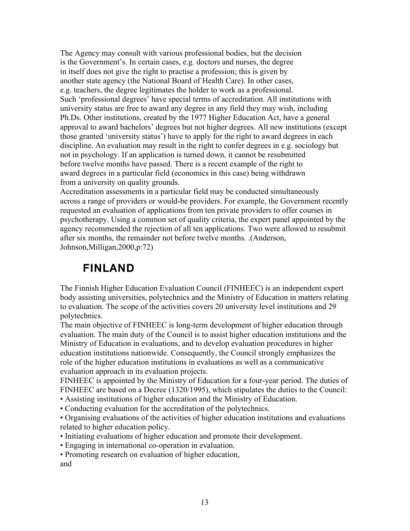The Agency may consult with various professional bodies, but the decision is the Government's. In certain cases, e.g. doctors and nurses, the degree in itself does not give the right to practise a profession; this is given by another state agency (the National Board of Health Care). In other cases, e.g. teachers, the degree legitimates the holder to work as a professional. Such 'professional degrees' have special terms of accreditation. All institutions with university status are free to award any degree in any field they may wish, including Ph.Ds. Other institutions, created by the 1977 Higher Education Act, have a general approval to award bachelors' degrees but not higher degrees. All new institutions (except those granted 'university status') have to apply for the right to award degrees in each discipline. An evaluation may result in the right to confer degrees in e.g. sociology but not in psychology. If an application is turned down, it cannot be resubmitted before twelve months have passed. There is a recent example of the right to award degrees in a particular field (economics in this case) being withdrawn from a university on quality grounds.

Accreditation assessments in a particular field may be conducted simultaneously across a range of providers or would-be providers. For example, the Government recently requested an evaluation of applications from ten private providers to offer courses in psychotherapy. Using a common set of quality criteria, the expert panel appointed by the agency recommended the rejection of all ten applications. Two were allowed to resubmit after six months, the remainder not before twelve months. .(Anderson, Johnson,Milligan,2000,p:72)

# **FINLAND**

The Finnish Higher Education Evaluation Council (FINHEEC) is an independent expert body assisting universities, polytechnics and the Ministry of Education in matters relating to evaluation. The scope of the activities covers 20 university level institutions and 29 polytechnics.

The main objective of FINHEEC is long-term development of higher education through evaluation. The main duty of the Council is to assist higher education institutions and the Ministry of Education in evaluations, and to develop evaluation procedures in higher education institutions nationwide. Consequently, the Council strongly emphasizes the role of the higher education institutions in evaluations as well as a communicative evaluation approach in its evaluation projects.

FINHEEC is appointed by the Ministry of Education for a four-year period. The duties of FINHEEC are based on a Decree (1320/1995), which stipulates the duties to the Council:

• Assisting institutions of higher education and the Ministry of Education.

• Conducting evaluation for the accreditation of the polytechnics.

• Organising evaluations of the activities of higher education institutions and evaluations related to higher education policy.

• Initiating evaluations of higher education and promote their development.

• Engaging in international co-operation in evaluation.

• Promoting research on evaluation of higher education,

and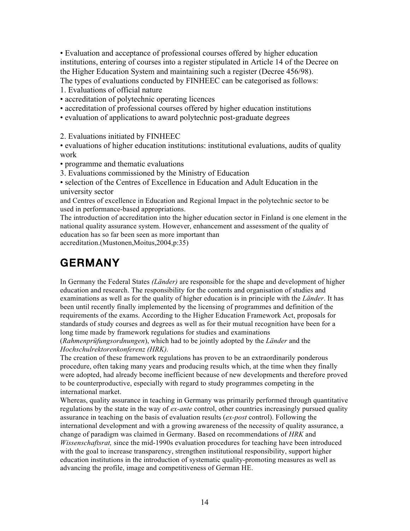• Evaluation and acceptance of professional courses offered by higher education institutions, entering of courses into a register stipulated in Article 14 of the Decree on the Higher Education System and maintaining such a register (Decree 456/98). The types of evaluations conducted by FINHEEC can be categorised as follows:

- 1. Evaluations of official nature
- accreditation of polytechnic operating licences
- accreditation of professional courses offered by higher education institutions
- evaluation of applications to award polytechnic post-graduate degrees

2. Evaluations initiated by FINHEEC

• evaluations of higher education institutions: institutional evaluations, audits of quality work

• programme and thematic evaluations

3. Evaluations commissioned by the Ministry of Education

• selection of the Centres of Excellence in Education and Adult Education in the university sector

and Centres of excellence in Education and Regional Impact in the polytechnic sector to be used in performance-based appropriations.

The introduction of accreditation into the higher education sector in Finland is one element in the national quality assurance system. However, enhancement and assessment of the quality of education has so far been seen as more important than

accreditation.(Mustonen,Moitus,2004,p:35)

# GERMANY

In Germany the Federal States *(Länder)* are responsible for the shape and development of higher education and research. The responsibility for the contents and organisation of studies and examinations as well as for the quality of higher education is in principle with the *Länder*. It has been until recently finally implemented by the licensing of programmes and definition of the requirements of the exams. According to the Higher Education Framework Act, proposals for standards of study courses and degrees as well as for their mutual recognition have been for a long time made by framework regulations for studies and examinations

(*Rahmenprüfungsordnungen*), which had to be jointly adopted by the *Länder* and the *Hochschulrektorenkonferenz (HRK).* 

The creation of these framework regulations has proven to be an extraordinarily ponderous procedure, often taking many years and producing results which, at the time when they finally were adopted, had already become inefficient because of new developments and therefore proved to be counterproductive, especially with regard to study programmes competing in the international market.

Whereas, quality assurance in teaching in Germany was primarily performed through quantitative regulations by the state in the way of *ex-ante* control, other countries increasingly pursued quality assurance in teaching on the basis of evaluation results (*ex-post* control). Following the international development and with a growing awareness of the necessity of quality assurance, a change of paradigm was claimed in Germany. Based on recommendations of *HRK* and *Wissenschaftsrat,* since the mid-1990s evaluation procedures for teaching have been introduced with the goal to increase transparency, strengthen institutional responsibility, support higher education institutions in the introduction of systematic quality-promoting measures as well as advancing the profile, image and competitiveness of German HE.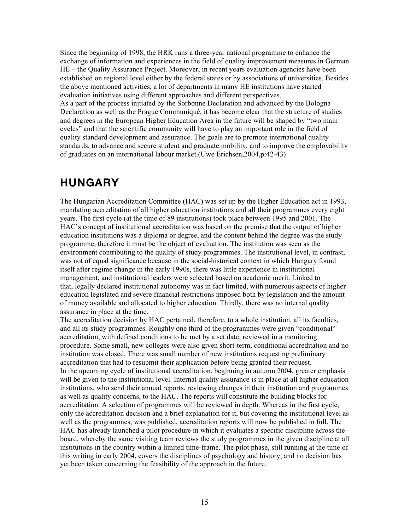Since the beginning of 1998, the HRK runs a three-year national programme to enhance the exchange of information and experiences in the field of quality improvement measures in German HE – the Quality Assurance Project. Moreover, in recent years evaluation agencies have been established on regional level either by the federal states or by associations of universities. Besides the above mentioned activities, a lot of departments in many HE institutions have started evaluation initiatives using different approaches and different perspectives. As a part of the process initiated by the Sorbonne Declaration and advanced by the Bologna Declaration as well as the Prague Communiqué, it has become clear that the structure of studies and degrees in the European Higher Education Area in the future will be shaped by "two main cycles" and that the scientific community will have to play an important role in the field of quality standard development and assurance. The goals are to promote international quality standards, to advance and secure student and graduate mobility, and to improve the employability of graduates on an international labour market.(Uwe Erichsen,2004,p:42-43)

# HUNGARY

The Hungarian Accreditation Committee (HAC) was set up by the Higher Education act in 1993, mandating accreditation of all higher education institutions and all their programmes every eight years. The first cycle (at the time of 89 institutions) took place between 1995 and 2001. The HAC's concept of institutional accreditation was based on the premise that the output of higher education institutions was a diploma or degree, and the content behind the degree was the study programme, therefore it must be the object of evaluation. The institution was seen as the environment contributing to the quality of study programmes. The institutional level, in contrast, was not of equal significance because in the social-historical context in which Hungary found itself after regime change in the early 1990s, there was little experience in institutional management, and institutional leaders were selected based on academic merit. Linked to that, legally declared institutional autonomy was in fact limited, with numerous aspects of higher education legislated and severe financial restrictions imposed both by legislation and the amount of money available and allocated to higher education. Thirdly, there was no internal quality assurance in place at the time.

The accreditation decision by HAC pertained, therefore, to a whole institution, all its faculties, and all its study programmes. Roughly one third of the programmes were given "conditional" accreditation, with defined conditions to be met by a set date, reviewed in a monitoring procedure. Some small, new colleges were also given short-term, conditional accreditation and no institution was closed. There was small number of new institutions requesting preliminary accreditation that had to resubmit their application before being granted their request. In the upcoming cycle of institutional accreditation, beginning in autumn 2004, greater emphasis will be given to the institutional level. Internal quality assurance is in place at all higher education institutions, who send their annual reports, reviewing changes in their institution and programmes as well as quality concerns, to the HAC. The reports will constitute the building blocks for accreditation. A selection of programmes will be reviewed in depth. Whereas in the first cycle, only the accreditation decision and a brief explanation for it, but covering the institutional level as well as the programmes, was published, accreditation reports will now be published in full. The HAC has already launched a pilot procedure in which it evaluates a specific discipline across the board, whereby the same visiting team reviews the study programmes in the given discipline at all institutions in the country within a limited time-frame. The pilot phase, still running at the time of this writing in early 2004, covers the disciplines of psychology and history, and no decision has yet been taken concerning the feasibility of the approach in the future.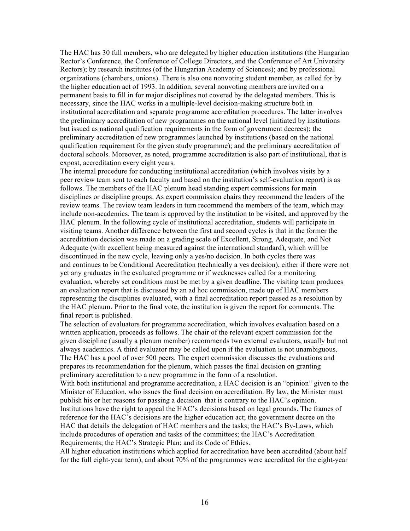The HAC has 30 full members, who are delegated by higher education institutions (the Hungarian Rector's Conference, the Conference of College Directors, and the Conference of Art University Rectors); by research institutes (of the Hungarian Academy of Sciences); and by professional organizations (chambers, unions). There is also one nonvoting student member, as called for by the higher education act of 1993. In addition, several nonvoting members are invited on a permanent basis to fill in for major disciplines not covered by the delegated members. This is necessary, since the HAC works in a multiple-level decision-making structure both in institutional accreditation and separate programme accreditation procedures. The latter involves the preliminary accreditation of new programmes on the national level (initiated by institutions but issued as national qualification requirements in the form of government decrees); the preliminary accreditation of new programmes launched by institutions (based on the national qualification requirement for the given study programme); and the preliminary accreditation of doctoral schools. Moreover, as noted, programme accreditation is also part of institutional, that is expost, accreditation every eight years.

The internal procedure for conducting institutional accreditation (which involves visits by a peer review team sent to each faculty and based on the institution's self-evaluation report) is as follows. The members of the HAC plenum head standing expert commissions for main disciplines or discipline groups. As expert commission chairs they recommend the leaders of the review teams. The review team leaders in turn recommend the members of the team, which may include non-academics. The team is approved by the institution to be visited, and approved by the HAC plenum. In the following cycle of institutional accreditation, students will participate in visiting teams. Another difference between the first and second cycles is that in the former the accreditation decision was made on a grading scale of Excellent, Strong, Adequate, and Not Adequate (with excellent being measured against the international standard), which will be discontinued in the new cycle, leaving only a yes/no decision. In both cycles there was and continues to be Conditional Accreditation (technically a yes decision), either if there were not yet any graduates in the evaluated programme or if weaknesses called for a monitoring evaluation, whereby set conditions must be met by a given deadline. The visiting team produces an evaluation report that is discussed by an ad hoc commission, made up of HAC members representing the disciplines evaluated, with a final accreditation report passed as a resolution by the HAC plenum. Prior to the final vote, the institution is given the report for comments. The final report is published.

The selection of evaluators for programme accreditation, which involves evaluation based on a written application, proceeds as follows. The chair of the relevant expert commission for the given discipline (usually a plenum member) recommends two external evaluators, usually but not always academics. A third evaluator may be called upon if the evaluation is not unambiguous. The HAC has a pool of over 500 peers. The expert commission discusses the evaluations and prepares its recommendation for the plenum, which passes the final decision on granting preliminary accreditation to a new programme in the form of a resolution.

With both institutional and programme accreditation, a HAC decision is an "opinion" given to the Minister of Education, who issues the final decision on accreditation. By law, the Minister must publish his or her reasons for passing a decision that is contrary to the HAC's opinion. Institutions have the right to appeal the HAC's decisions based on legal grounds. The frames of reference for the HAC's decisions are the higher education act; the government decree on the HAC that details the delegation of HAC members and the tasks; the HAC's By-Laws, which include procedures of operation and tasks of the committees; the HAC's Accreditation Requirements; the HAC's Strategic Plan; and its Code of Ethics.

All higher education institutions which applied for accreditation have been accredited (about half for the full eight-year term), and about 70% of the programmes were accredited for the eight-year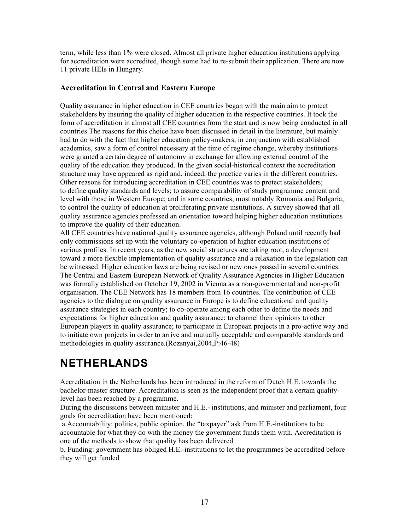term, while less than 1% were closed. Almost all private higher education institutions applying for accreditation were accredited, though some had to re-submit their application. There are now 11 private HEIs in Hungary.

#### **Accreditation in Central and Eastern Europe**

Quality assurance in higher education in CEE countries began with the main aim to protect stakeholders by insuring the quality of higher education in the respective countries. It took the form of accreditation in almost all CEE countries from the start and is now being conducted in all countries.The reasons for this choice have been discussed in detail in the literature, but mainly had to do with the fact that higher education policy-makers, in conjunction with established academics, saw a form of control necessary at the time of regime change, whereby institutions were granted a certain degree of autonomy in exchange for allowing external control of the quality of the education they produced. In the given social-historical context the accreditation structure may have appeared as rigid and, indeed, the practice varies in the different countries. Other reasons for introducing accreditation in CEE countries was to protect stakeholders; to define quality standards and levels; to assure comparability of study programme content and level with those in Western Europe; and in some countries, most notably Romania and Bulgaria, to control the quality of education at proliferating private institutions. A survey showed that all quality assurance agencies professed an orientation toward helping higher education institutions to improve the quality of their education.

All CEE countries have national quality assurance agencies, although Poland until recently had only commissions set up with the voluntary co-operation of higher education institutions of various profiles. In recent years, as the new social structures are taking root, a development toward a more flexible implementation of quality assurance and a relaxation in the legislation can be witnessed. Higher education laws are being revised or new ones passed in several countries. The Central and Eastern European Network of Quality Assurance Agencies in Higher Education was formally established on October 19, 2002 in Vienna as a non-governmental and non-profit organisation. The CEE Network has 18 members from 16 countries. The contribution of CEE agencies to the dialogue on quality assurance in Europe is to define educational and quality assurance strategies in each country; to co-operate among each other to define the needs and expectations for higher education and quality assurance; to channel their opinions to other European players in quality assurance; to participate in European projects in a pro-active way and to initiate own projects in order to arrive and mutually acceptable and comparable standards and methodologies in quality assurance.(Rozsnyai,2004,P:46-48)

# NETHERLANDS

Accreditation in the Netherlands has been introduced in the reform of Dutch H.E. towards the bachelor-master structure. Accreditation is seen as the independent proof that a certain qualitylevel has been reached by a programme.

During the discussions between minister and H.E.- institutions, and minister and parliament, four goals for accreditation have been mentioned:

a.Accountability: politics, public opinion, the "taxpayer" ask from H.E.-institutions to be accountable for what they do with the money the government funds them with. Accreditation is one of the methods to show that quality has been delivered

b. Funding: government has obliged H.E.-institutions to let the programmes be accredited before they will get funded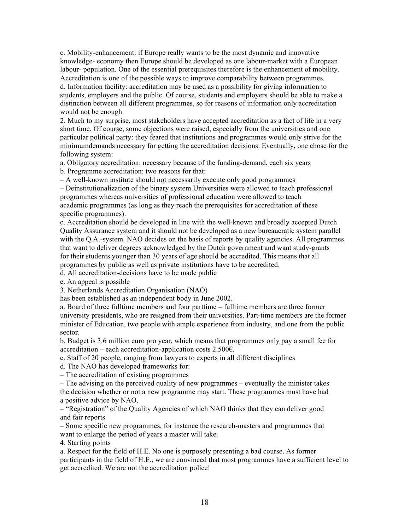c. Mobility-enhancement: if Europe really wants to be the most dynamic and innovative knowledge- economy then Europe should be developed as one labour-market with a European labour- population. One of the essential prerequisites therefore is the enhancement of mobility. Accreditation is one of the possible ways to improve comparability between programmes. d. Information facility: accreditation may be used as a possibility for giving information to students, employers and the public. Of course, students and employers should be able to make a distinction between all different programmes, so for reasons of information only accreditation would not be enough.

2. Much to my surprise, most stakeholders have accepted accreditation as a fact of life in a very short time. Of course, some objections were raised, especially from the universities and one particular political party: they feared that institutions and programmes would only strive for the minimumdemands necessary for getting the accreditation decisions. Eventually, one chose for the following system:

a. Obligatory accreditation: necessary because of the funding-demand, each six years

b. Programme accreditation: two reasons for that:

– A well-known institute should not necessarily execute only good programmes

– Deinstitutionalization of the binary system.Universities were allowed to teach professional programmes whereas universities of professional education were allowed to teach academic programmes (as long as they reach the prerequisites for accreditation of these specific programmes).

c. Accreditation should be developed in line with the well-known and broadly accepted Dutch Quality Assurance system and it should not be developed as a new bureaucratic system parallel with the Q.A.-system. NAO decides on the basis of reports by quality agencies. All programmes that want to deliver degrees acknowledged by the Dutch government and want study-grants for their students younger than 30 years of age should be accredited. This means that all programmes by public as well as private institutions have to be accredited.

d. All accreditation-decisions have to be made public

e. An appeal is possible

3. Netherlands Accreditation Organisation (NAO)

has been established as an independent body in June 2002.

a. Board of three fulltime members and four parttime – fulltime members are three former university presidents, who are resigned from their universities. Part-time members are the former minister of Education, two people with ample experience from industry, and one from the public sector.

b. Budget is 3.6 million euro pro year, which means that programmes only pay a small fee for accreditation – each accreditation-application costs  $2.500\varepsilon$ .

c. Staff of 20 people, ranging from lawyers to experts in all different disciplines

d. The NAO has developed frameworks for:

– The accreditation of existing programmes

– The advising on the perceived quality of new programmes – eventually the minister takes the decision whether or not a new programme may start. These programmes must have had a positive advice by NAO.

– "Registration" of the Quality Agencies of which NAO thinks that they can deliver good and fair reports

– Some specific new programmes, for instance the research-masters and programmes that want to enlarge the period of years a master will take.

4. Starting points

a. Respect for the field of H.E. No one is purposely presenting a bad course. As former participants in the field of H.E., we are convinced that most programmes have a sufficient level to get accredited. We are not the accreditation police!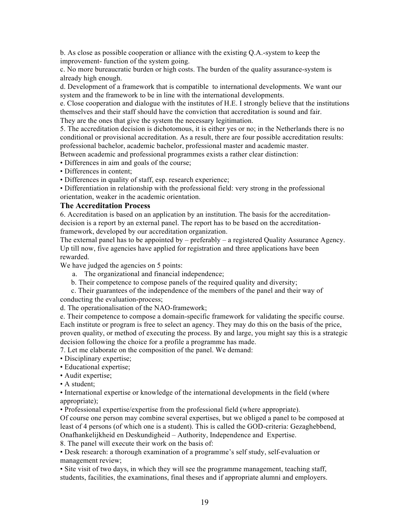b. As close as possible cooperation or alliance with the existing Q.A.-system to keep the improvement- function of the system going.

c. No more bureaucratic burden or high costs. The burden of the quality assurance-system is already high enough.

d. Development of a framework that is compatible to international developments. We want our system and the framework to be in line with the international developments.

e. Close cooperation and dialogue with the institutes of H.E. I strongly believe that the institutions themselves and their staff should have the conviction that accreditation is sound and fair. They are the ones that give the system the necessary legitimation.

5. The accreditation decision is dichotomous, it is either yes or no; in the Netherlands there is no conditional or provisional accreditation. As a result, there are four possible accreditation results: professional bachelor, academic bachelor, professional master and academic master.

Between academic and professional programmes exists a rather clear distinction:

• Differences in aim and goals of the course;

• Differences in content;

• Differences in quality of staff, esp. research experience;

• Differentiation in relationship with the professional field: very strong in the professional orientation, weaker in the academic orientation.

#### **The Accreditation Process**

6. Accreditation is based on an application by an institution. The basis for the accreditationdecision is a report by an external panel. The report has to be based on the accreditationframework, developed by our accreditation organization.

The external panel has to be appointed by – preferably – a registered Quality Assurance Agency. Up till now, five agencies have applied for registration and three applications have been rewarded.

We have judged the agencies on 5 points:

a. The organizational and financial independence;

b. Their competence to compose panels of the required quality and diversity;

 c. Their guarantees of the independence of the members of the panel and their way of conducting the evaluation-process;

d. The operationalisation of the NAO-framework;

e. Their competence to compose a domain-specific framework for validating the specific course. Each institute or program is free to select an agency. They may do this on the basis of the price, proven quality, or method of executing the process. By and large, you might say this is a strategic decision following the choice for a profile a programme has made.

7. Let me elaborate on the composition of the panel. We demand:

• Disciplinary expertise;

• Educational expertise;

• Audit expertise;

• A student;

• International expertise or knowledge of the international developments in the field (where appropriate);

• Professional expertise/expertise from the professional field (where appropriate).

Of course one person may combine several expertises, but we obliged a panel to be composed at least of 4 persons (of which one is a student). This is called the GOD-criteria: Gezaghebbend, Onafhankelijkheid en Deskundigheid – Authority, Independence and Expertise.

8. The panel will execute their work on the basis of:

• Desk research: a thorough examination of a programme's self study, self-evaluation or management review;

• Site visit of two days, in which they will see the programme management, teaching staff, students, facilities, the examinations, final theses and if appropriate alumni and employers.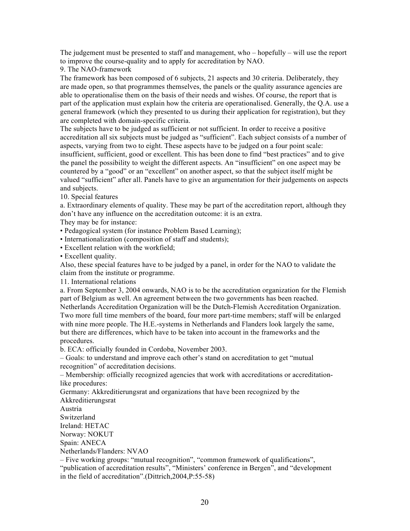The judgement must be presented to staff and management, who – hopefully – will use the report to improve the course-quality and to apply for accreditation by NAO.

9. The NAO-framework

The framework has been composed of 6 subjects, 21 aspects and 30 criteria. Deliberately, they are made open, so that programmes themselves, the panels or the quality assurance agencies are able to operationalise them on the basis of their needs and wishes. Of course, the report that is part of the application must explain how the criteria are operationalised. Generally, the Q.A. use a general framework (which they presented to us during their application for registration), but they are completed with domain-specific criteria.

The subjects have to be judged as sufficient or not sufficient. In order to receive a positive accreditation all six subjects must be judged as "sufficient". Each subject consists of a number of aspects, varying from two to eight. These aspects have to be judged on a four point scale: insufficient, sufficient, good or excellent. This has been done to find "best practices" and to give the panel the possibility to weight the different aspects. An "insufficient" on one aspect may be countered by a "good" or an "excellent" on another aspect, so that the subject itself might be valued "sufficient" after all. Panels have to give an argumentation for their judgements on aspects and subjects.

10. Special features

a. Extraordinary elements of quality. These may be part of the accreditation report, although they don't have any influence on the accreditation outcome: it is an extra.

They may be for instance:

• Pedagogical system (for instance Problem Based Learning);

• Internationalization (composition of staff and students);

• Excellent relation with the workfield;

• Excellent quality.

Also, these special features have to be judged by a panel, in order for the NAO to validate the claim from the institute or programme.

11. International relations

a. From September 3, 2004 onwards, NAO is to be the accreditation organization for the Flemish part of Belgium as well. An agreement between the two governments has been reached.

Netherlands Accreditation Organization will be the Dutch-Flemish Accreditation Organization. Two more full time members of the board, four more part-time members; staff will be enlarged with nine more people. The H.E.-systems in Netherlands and Flanders look largely the same, but there are differences, which have to be taken into account in the frameworks and the procedures.

b. ECA: officially founded in Cordoba, November 2003.

– Goals: to understand and improve each other's stand on accreditation to get "mutual recognition" of accreditation decisions.

– Membership: officially recognized agencies that work with accreditations or accreditationlike procedures:

Germany: Akkreditierungsrat and organizations that have been recognized by the Akkreditierungsrat

Austria

Switzerland

Ireland: HETAC

Norway: NOKUT Spain: ANECA

Netherlands/Flanders: NVAO

– Five working groups: "mutual recognition", "common framework of qualifications",

"publication of accreditation results", "Ministers' conference in Bergen", and "development in the field of accreditation".(Dittrich,2004,P:55-58)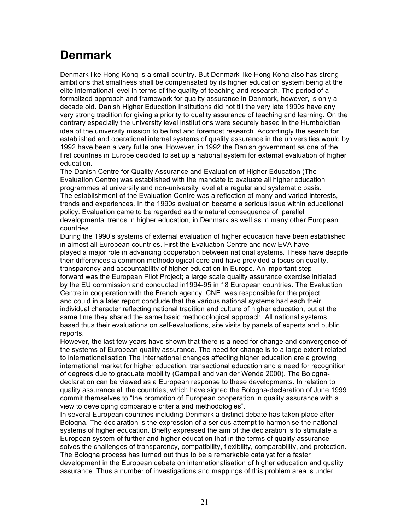# **Denmark**

Denmark like Hong Kong is a small country. But Denmark like Hong Kong also has strong ambitions that smallness shall be compensated by its higher education system being at the elite international level in terms of the quality of teaching and research. The period of a formalized approach and framework for quality assurance in Denmark, however, is only a decade old. Danish Higher Education Institutions did not till the very late 1990s have any very strong tradition for giving a priority to quality assurance of teaching and learning. On the contrary especially the university level institutions were securely based in the Humboldtian idea of the university mission to be first and foremost research. Accordingly the search for established and operational internal systems of quality assurance in the universities would by 1992 have been a very futile one. However, in 1992 the Danish government as one of the first countries in Europe decided to set up a national system for external evaluation of higher education.

The Danish Centre for Quality Assurance and Evaluation of Higher Education (The Evaluation Centre) was established with the mandate to evaluate all higher education programmes at university and non-university level at a regular and systematic basis. The establishment of the Evaluation Centre was a reflection of many and varied interests, trends and experiences. In the 1990s evaluation became a serious issue within educational policy. Evaluation came to be regarded as the natural consequence of parallel developmental trends in higher education, in Denmark as well as in many other European countries.

During the 1990's systems of external evaluation of higher education have been established in almost all European countries. First the Evaluation Centre and now EVA have played a major role in advancing cooperation between national systems. These have despite their differences a common methodological core and have provided a focus on quality, transparency and accountability of higher education in Europe. An important step forward was the European Pilot Project; a large scale quality assurance exercise initiated by the EU commission and conducted in1994-95 in 18 European countries. The Evaluation Centre in cooperation with the French agency, CNE, was responsible for the project and could in a later report conclude that the various national systems had each their individual character reflecting national tradition and culture of higher education, but at the same time they shared the same basic methodological approach. All national systems based thus their evaluations on self-evaluations, site visits by panels of experts and public reports.

However, the last few years have shown that there is a need for change and convergence of the systems of European quality assurance. The need for change is to a large extent related to internationalisation The international changes affecting higher education are a growing international market for higher education, transactional education and a need for recognition of degrees due to graduate mobility (Campell and van der Wende 2000). The Bolognadeclaration can be viewed as a European response to these developments. In relation to quality assurance all the countries, which have signed the Bologna-declaration of June 1999 commit themselves to "the promotion of European cooperation in quality assurance with a view to developing comparable criteria and methodologies".

In several European countries including Denmark a distinct debate has taken place after Bologna. The declaration is the expression of a serious attempt to harmonise the national systems of higher education. Briefly expressed the aim of the declaration is to stimulate a European system of further and higher education that in the terms of quality assurance solves the challenges of transparency, compatibility, flexibility, comparability, and protection. The Bologna process has turned out thus to be a remarkable catalyst for a faster development in the European debate on internationalisation of higher education and quality assurance. Thus a number of investigations and mappings of this problem area is under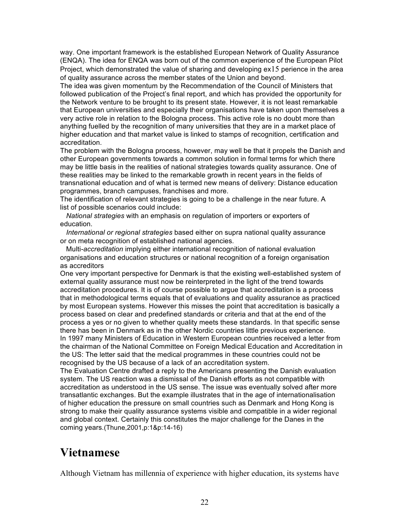way. One important framework is the established European Network of Quality Assurance (ENQA). The idea for ENQA was born out of the common experience of the European Pilot Project, which demonstrated the value of sharing and developing ex15 perience in the area of quality assurance across the member states of the Union and beyond.

The idea was given momentum by the Recommendation of the Council of Ministers that followed publication of the Project's final report, and which has provided the opportunity for the Network venture to be brought to its present state. However, it is not least remarkable that European universities and especially their organisations have taken upon themselves a very active role in relation to the Bologna process. This active role is no doubt more than anything fuelled by the recognition of many universities that they are in a market place of higher education and that market value is linked to stamps of recognition, certification and accreditation.

The problem with the Bologna process, however, may well be that it propels the Danish and other European governments towards a common solution in formal terms for which there may be little basis in the realities of national strategies towards quality assurance. One of these realities may be linked to the remarkable growth in recent years in the fields of transnational education and of what is termed new means of delivery: Distance education programmes, branch campuses, franchises and more.

The identification of relevant strategies is going to be a challenge in the near future. A list of possible scenarios could include:

 *National strategies* with an emphasis on regulation of importers or exporters of education.

 *International or regional strategies* based either on supra national quality assurance or on meta recognition of established national agencies.

 Multi*-accreditation* implying either international recognition of national evaluation organisations and education structures or national recognition of a foreign organisation as accreditors

One very important perspective for Denmark is that the existing well-established system of external quality assurance must now be reinterpreted in the light of the trend towards accreditation procedures. It is of course possible to argue that accreditation is a process that in methodological terms equals that of evaluations and quality assurance as practiced by most European systems. However this misses the point that accreditation is basically a process based on clear and predefined standards or criteria and that at the end of the process a yes or no given to whether quality meets these standards. In that specific sense there has been in Denmark as in the other Nordic countries little previous experience. In 1997 many Ministers of Education in Western European countries received a letter from the chairman of the National Committee on Foreign Medical Education and Accreditation in the US: The letter said that the medical programmes in these countries could not be recognised by the US because of a lack of an accreditation system.

The Evaluation Centre drafted a reply to the Americans presenting the Danish evaluation system. The US reaction was a dismissal of the Danish efforts as not compatible with accreditation as understood in the US sense. The issue was eventually solved after more transatlantic exchanges. But the example illustrates that in the age of internationalisation of higher education the pressure on small countries such as Denmark and Hong Kong is strong to make their quality assurance systems visible and compatible in a wider regional and global context. Certainly this constitutes the major challenge for the Danes in the coming years.(Thune,2001,p:1&p:14-16)

# **Vietnamese**

Although Vietnam has millennia of experience with higher education, its systems have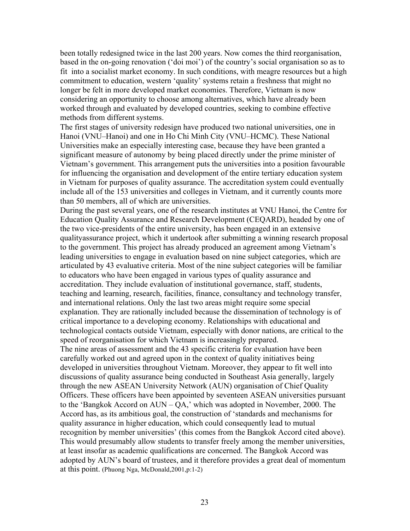been totally redesigned twice in the last 200 years. Now comes the third reorganisation, based in the on-going renovation ('doi moi') of the country's social organisation so as to fit into a socialist market economy. In such conditions, with meagre resources but a high commitment to education, western 'quality' systems retain a freshness that might no longer be felt in more developed market economies. Therefore, Vietnam is now considering an opportunity to choose among alternatives, which have already been worked through and evaluated by developed countries, seeking to combine effective methods from different systems.

The first stages of university redesign have produced two national universities, one in Hanoi (VNU–Hanoi) and one in Ho Chi Minh City (VNU–HCMC). These National Universities make an especially interesting case, because they have been granted a significant measure of autonomy by being placed directly under the prime minister of Vietnam's government. This arrangement puts the universities into a position favourable for influencing the organisation and development of the entire tertiary education system in Vietnam for purposes of quality assurance. The accreditation system could eventually include all of the 153 universities and colleges in Vietnam, and it currently counts more than 50 members, all of which are universities.

During the past several years, one of the research institutes at VNU Hanoi, the Centre for Education Quality Assurance and Research Development (CEQARD), headed by one of the two vice-presidents of the entire university, has been engaged in an extensive qualityassurance project, which it undertook after submitting a winning research proposal to the government. This project has already produced an agreement among Vietnam's leading universities to engage in evaluation based on nine subject categories, which are articulated by 43 evaluative criteria. Most of the nine subject categories will be familiar to educators who have been engaged in various types of quality assurance and accreditation. They include evaluation of institutional governance, staff, students, teaching and learning, research, facilities, finance, consultancy and technology transfer, and international relations. Only the last two areas might require some special explanation. They are rationally included because the dissemination of technology is of critical importance to a developing economy. Relationships with educational and technological contacts outside Vietnam, especially with donor nations, are critical to the speed of reorganisation for which Vietnam is increasingly prepared. The nine areas of assessment and the 43 specific criteria for evaluation have been carefully worked out and agreed upon in the context of quality initiatives being developed in universities throughout Vietnam. Moreover, they appear to fit well into discussions of quality assurance being conducted in Southeast Asia generally, largely through the new ASEAN University Network (AUN) organisation of Chief Quality Officers. These officers have been appointed by seventeen ASEAN universities pursuant to the 'Bangkok Accord on AUN – QA,' which was adopted in November, 2000. The Accord has, as its ambitious goal, the construction of 'standards and mechanisms for quality assurance in higher education, which could consequently lead to mutual recognition by member universities' (this comes from the Bangkok Accord cited above). This would presumably allow students to transfer freely among the member universities, at least insofar as academic qualifications are concerned. The Bangkok Accord was adopted by AUN's board of trustees, and it therefore provides a great deal of momentum at this point. (Phuong Nga, McDonald,2001,p:1-2)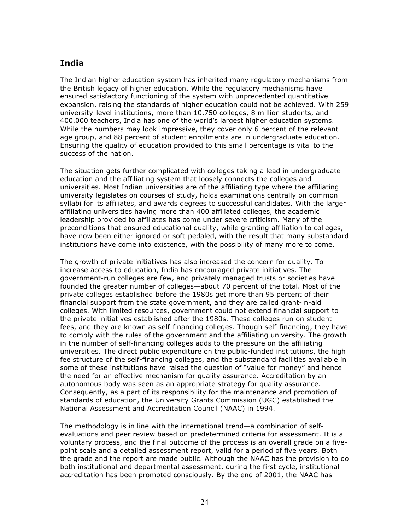### **India**

The Indian higher education system has inherited many regulatory mechanisms from the British legacy of higher education. While the regulatory mechanisms have ensured satisfactory functioning of the system with unprecedented quantitative expansion, raising the standards of higher education could not be achieved. With 259 university-level institutions, more than 10,750 colleges, 8 million students, and 400,000 teachers, India has one of the world's largest higher education systems. While the numbers may look impressive, they cover only 6 percent of the relevant age group, and 88 percent of student enrollments are in undergraduate education. Ensuring the quality of education provided to this small percentage is vital to the success of the nation.

The situation gets further complicated with colleges taking a lead in undergraduate education and the affiliating system that loosely connects the colleges and universities. Most Indian universities are of the affiliating type where the affiliating university legislates on courses of study, holds examinations centrally on common syllabi for its affiliates, and awards degrees to successful candidates. With the larger affiliating universities having more than 400 affiliated colleges, the academic leadership provided to affiliates has come under severe criticism. Many of the preconditions that ensured educational quality, while granting affiliation to colleges, have now been either ignored or soft-pedaled, with the result that many substandard institutions have come into existence, with the possibility of many more to come.

The growth of private initiatives has also increased the concern for quality. To increase access to education, India has encouraged private initiatives. The government-run colleges are few, and privately managed trusts or societies have founded the greater number of colleges—about 70 percent of the total. Most of the private colleges established before the 1980s get more than 95 percent of their financial support from the state government, and they are called grant-in-aid colleges. With limited resources, government could not extend financial support to the private initiatives established after the 1980s. These colleges run on student fees, and they are known as self-financing colleges. Though self-financing, they have to comply with the rules of the government and the affiliating university. The growth in the number of self-financing colleges adds to the pressure on the affiliating universities. The direct public expenditure on the public-funded institutions, the high fee structure of the self-financing colleges, and the substandard facilities available in some of these institutions have raised the question of "value for money" and hence the need for an effective mechanism for quality assurance. Accreditation by an autonomous body was seen as an appropriate strategy for quality assurance. Consequently, as a part of its responsibility for the maintenance and promotion of standards of education, the University Grants Commission (UGC) established the National Assessment and Accreditation Council (NAAC) in 1994.

The methodology is in line with the international trend—a combination of selfevaluations and peer review based on predetermined criteria for assessment. It is a voluntary process, and the final outcome of the process is an overall grade on a fivepoint scale and a detailed assessment report, valid for a period of five years. Both the grade and the report are made public. Although the NAAC has the provision to do both institutional and departmental assessment, during the first cycle, institutional accreditation has been promoted consciously. By the end of 2001, the NAAC has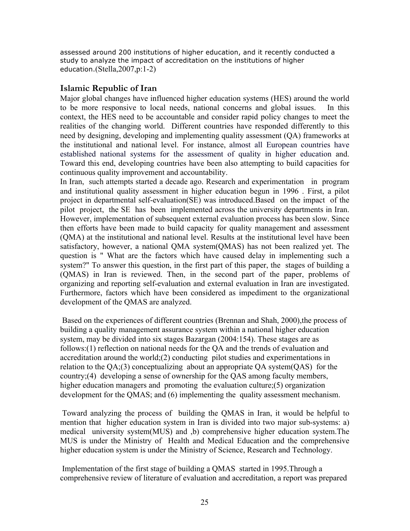assessed around 200 institutions of higher education, and it recently conducted a study to analyze the impact of accreditation on the institutions of higher education.(Stella,2007,p:1-2)

### **Islamic Republic of Iran**

Major global changes have influenced higher education systems (HES) around the world to be more responsive to local needs, national concerns and global issues. In this context, the HES need to be accountable and consider rapid policy changes to meet the realities of the changing world. Different countries have responded differently to this need by designing, developing and implementing quality assessment (QA) frameworks at the institutional and national level. For instance, almost all European countries have established national systems for the assessment of quality in higher education and. Toward this end, developing countries have been also attempting to build capacities for continuous quality improvement and accountability.

In Iran, such attempts started a decade ago. Research and experimentation in program and institutional quality assessment in higher education begun in 1996 . First, a pilot project in departmental self-evaluation(SE) was introduced.Based on the impact of the pilot project, the SE has been implemented across the university departments in Iran. However, implementation of subsequent external evaluation process has been slow. Since then efforts have been made to build capacity for quality management and assessment (QMA) at the institutional and national level. Results at the institutional level have been satisfactory, however, a national QMA system(QMAS) has not been realized yet. The question is " What are the factors which have caused delay in implementing such a system?" To answer this question, in the first part of this paper, the stages of building a (QMAS) in Iran is reviewed. Then, in the second part of the paper, problems of organizing and reporting self-evaluation and external evaluation in Iran are investigated. Furthermore, factors which have been considered as impediment to the organizational development of the QMAS are analyzed.

Based on the experiences of different countries (Brennan and Shah, 2000), the process of building a quality management assurance system within a national higher education system, may be divided into six stages Bazargan (2004:154). These stages are as follows:(1) reflection on national needs for the QA and the trends of evaluation and accreditation around the world;(2) conducting pilot studies and experimentations in relation to the QA;(3) conceptualizing about an appropriate QA system(QAS) for the country;(4) developing a sense of ownership for the QAS among faculty members, higher education managers and promoting the evaluation culture;(5) organization development for the QMAS; and (6) implementing the quality assessment mechanism.

Toward analyzing the process of building the QMAS in Iran, it would be helpful to mention that higher education system in Iran is divided into two major sub-systems: a) medical university system(MUS) and ,b) comprehensive higher education system.The MUS is under the Ministry of Health and Medical Education and the comprehensive higher education system is under the Ministry of Science, Research and Technology.

Implementation of the first stage of building a QMAS started in 1995.Through a comprehensive review of literature of evaluation and accreditation, a report was prepared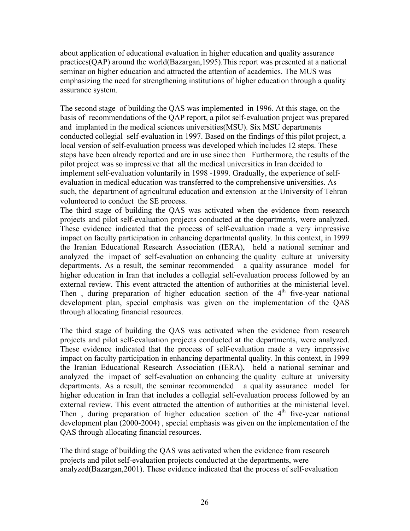about application of educational evaluation in higher education and quality assurance practices(QAP) around the world(Bazargan,1995).This report was presented at a national seminar on higher education and attracted the attention of academics. The MUS was emphasizing the need for strengthening institutions of higher education through a quality assurance system.

The second stage of building the QAS was implemented in 1996. At this stage, on the basis of recommendations of the QAP report, a pilot self-evaluation project was prepared and implanted in the medical sciences universities(MSU). Six MSU departments conducted collegial self-evaluation in 1997. Based on the findings of this pilot project, a local version of self-evaluation process was developed which includes 12 steps. These steps have been already reported and are in use since then Furthermore, the results of the pilot project was so impressive that all the medical universities in Iran decided to implement self-evaluation voluntarily in 1998 -1999. Gradually, the experience of selfevaluation in medical education was transferred to the comprehensive universities. As such, the department of agricultural education and extension at the University of Tehran volunteered to conduct the SE process.

The third stage of building the QAS was activated when the evidence from research projects and pilot self-evaluation projects conducted at the departments, were analyzed. These evidence indicated that the process of self-evaluation made a very impressive impact on faculty participation in enhancing departmental quality. In this context, in 1999 the Iranian Educational Research Association (IERA), held a national seminar and analyzed the impact of self-evaluation on enhancing the quality culture at university departments. As a result, the seminar recommended a quality assurance model for higher education in Iran that includes a collegial self-evaluation process followed by an external review. This event attracted the attention of authorities at the ministerial level. Then, during preparation of higher education section of the  $4<sup>th</sup>$  five-year national development plan, special emphasis was given on the implementation of the QAS through allocating financial resources.

The third stage of building the QAS was activated when the evidence from research projects and pilot self-evaluation projects conducted at the departments, were analyzed. These evidence indicated that the process of self-evaluation made a very impressive impact on faculty participation in enhancing departmental quality. In this context, in 1999 the Iranian Educational Research Association (IERA), held a national seminar and analyzed the impact of self-evaluation on enhancing the quality culture at university departments. As a result, the seminar recommended a quality assurance model for higher education in Iran that includes a collegial self-evaluation process followed by an external review. This event attracted the attention of authorities at the ministerial level. Then, during preparation of higher education section of the  $4<sup>th</sup>$  five-year national development plan (2000-2004) , special emphasis was given on the implementation of the QAS through allocating financial resources.

The third stage of building the QAS was activated when the evidence from research projects and pilot self-evaluation projects conducted at the departments, were analyzed(Bazargan,2001). These evidence indicated that the process of self-evaluation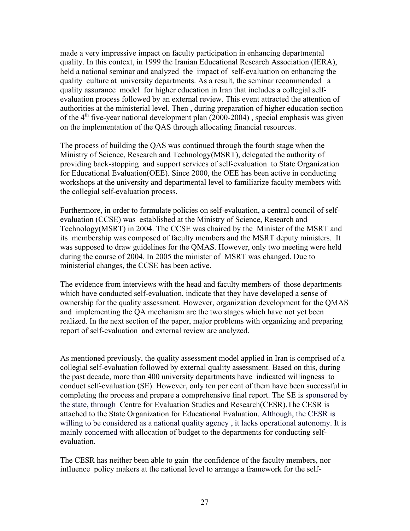made a very impressive impact on faculty participation in enhancing departmental quality. In this context, in 1999 the Iranian Educational Research Association (IERA), held a national seminar and analyzed the impact of self-evaluation on enhancing the quality culture at university departments. As a result, the seminar recommended a quality assurance model for higher education in Iran that includes a collegial selfevaluation process followed by an external review. This event attracted the attention of authorities at the ministerial level. Then , during preparation of higher education section of the  $4<sup>th</sup>$  five-year national development plan (2000-2004), special emphasis was given on the implementation of the QAS through allocating financial resources.

The process of building the QAS was continued through the fourth stage when the Ministry of Science, Research and Technology(MSRT), delegated the authority of providing back-stopping and support services of self-evaluation to State Organization for Educational Evaluation(OEE). Since 2000, the OEE has been active in conducting workshops at the university and departmental level to familiarize faculty members with the collegial self-evaluation process.

Furthermore, in order to formulate policies on self-evaluation, a central council of selfevaluation (CCSE) was established at the Ministry of Science, Research and Technology(MSRT) in 2004. The CCSE was chaired by the Minister of the MSRT and its membership was composed of faculty members and the MSRT deputy ministers. It was supposed to draw guidelines for the QMAS. However, only two meeting were held during the course of 2004. In 2005 the minister of MSRT was changed. Due to ministerial changes, the CCSE has been active.

The evidence from interviews with the head and faculty members of those departments which have conducted self-evaluation, indicate that they have developed a sense of ownership for the quality assessment. However, organization development for the QMAS and implementing the QA mechanism are the two stages which have not yet been realized. In the next section of the paper, major problems with organizing and preparing report of self-evaluation and external review are analyzed.

As mentioned previously, the quality assessment model applied in Iran is comprised of a collegial self-evaluation followed by external quality assessment. Based on this, during the past decade, more than 400 university departments have indicated willingness to conduct self-evaluation (SE). However, only ten per cent of them have been successful in completing the process and prepare a comprehensive final report. The SE is sponsored by the state, through Centre for Evaluation Studies and Research(CESR).The CESR is attached to the State Organization for Educational Evaluation. Although, the CESR is willing to be considered as a national quality agency , it lacks operational autonomy. It is mainly concerned with allocation of budget to the departments for conducting selfevaluation.

The CESR has neither been able to gain the confidence of the faculty members, nor influence policy makers at the national level to arrange a framework for the self-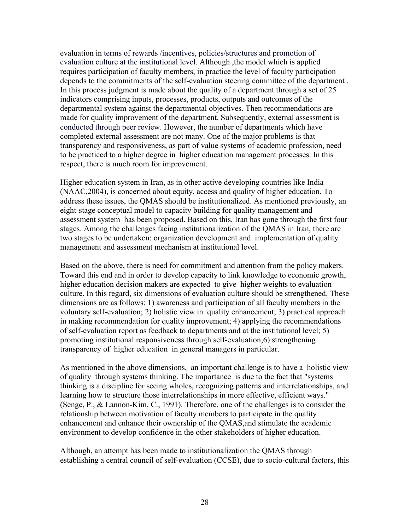evaluation in terms of rewards /incentives, policies/structures and promotion of evaluation culture at the institutional level. Although ,the model which is applied requires participation of faculty members, in practice the level of faculty participation depends to the commitments of the self-evaluation steering committee of the department . In this process judgment is made about the quality of a department through a set of 25 indicators comprising inputs, processes, products, outputs and outcomes of the departmental system against the departmental objectives. Then recommendations are made for quality improvement of the department. Subsequently, external assessment is conducted through peer review. However, the number of departments which have completed external assessment are not many. One of the major problems is that transparency and responsiveness, as part of value systems of academic profession, need to be practiced to a higher degree in higher education management processes. In this respect, there is much room for improvement.

Higher education system in Iran, as in other active developing countries like India (NAAC,2004), is concerned about equity, access and quality of higher education. To address these issues, the QMAS should be institutionalized. As mentioned previously, an eight-stage conceptual model to capacity building for quality management and assessment system has been proposed. Based on this, Iran has gone through the first four stages. Among the challenges facing institutionalization of the QMAS in Iran, there are two stages to be undertaken: organization development and implementation of quality management and assessment mechanism at institutional level.

Based on the above, there is need for commitment and attention from the policy makers. Toward this end and in order to develop capacity to link knowledge to economic growth, higher education decision makers are expected to give higher weights to evaluation culture. In this regard, six dimensions of evaluation culture should be strengthened. These dimensions are as follows: 1) awareness and participation of all faculty members in the voluntary self-evaluation; 2) holistic view in quality enhancement; 3) practical approach in making recommendation for quality improvement; 4) applying the recommendations of self-evaluation report as feedback to departments and at the institutional level; 5) promoting institutional responsiveness through self-evaluation;6) strengthening transparency of higher education in general managers in particular.

As mentioned in the above dimensions, an important challenge is to have a holistic view of quality through systems thinking. The importance is due to the fact that "systems thinking is a discipline for seeing wholes, recognizing patterns and interrelationships, and learning how to structure those interrelationships in more effective, efficient ways." (Senge, P., & Lannon-Kim, C., 1991). Therefore, one of the challenges is to consider the relationship between motivation of faculty members to participate in the quality enhancement and enhance their ownership of the QMAS,and stimulate the academic environment to develop confidence in the other stakeholders of higher education.

Although, an attempt has been made to institutionalization the QMAS through establishing a central council of self-evaluation (CCSE), due to socio-cultural factors, this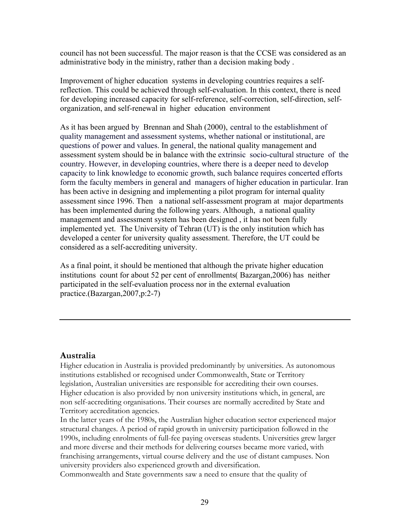council has not been successful. The major reason is that the CCSE was considered as an administrative body in the ministry, rather than a decision making body .

Improvement of higher education systems in developing countries requires a selfreflection. This could be achieved through self-evaluation. In this context, there is need for developing increased capacity for self-reference, self-correction, self-direction, selforganization, and self-renewal in higher education environment

As it has been argued by Brennan and Shah (2000), central to the establishment of quality management and assessment systems, whether national or institutional, are questions of power and values. In general, the national quality management and assessment system should be in balance with the extrinsic socio-cultural structure of the country. However, in developing countries, where there is a deeper need to develop capacity to link knowledge to economic growth, such balance requires concerted efforts form the faculty members in general and managers of higher education in particular. Iran has been active in designing and implementing a pilot program for internal quality assessment since 1996. Then a national self-assessment program at major departments has been implemented during the following years. Although, a national quality management and assessment system has been designed , it has not been fully implemented yet. The University of Tehran (UT) is the only institution which has developed a center for university quality assessment. Therefore, the UT could be considered as a self-accrediting university.

As a final point, it should be mentioned that although the private higher education institutions count for about 52 per cent of enrollments( Bazargan,2006) has neither participated in the self-evaluation process nor in the external evaluation practice.(Bazargan,2007,p:2-7)

### **Australia**

Higher education in Australia is provided predominantly by universities. As autonomous institutions established or recognised under Commonwealth, State or Territory legislation, Australian universities are responsible for accrediting their own courses. Higher education is also provided by non university institutions which, in general, are non self-accrediting organisations. Their courses are normally accredited by State and Territory accreditation agencies.

In the latter years of the 1980s, the Australian higher education sector experienced major structural changes. A period of rapid growth in university participation followed in the 1990s, including enrolments of full-fee paying overseas students. Universities grew larger and more diverse and their methods for delivering courses became more varied, with franchising arrangements, virtual course delivery and the use of distant campuses. Non university providers also experienced growth and diversification.

Commonwealth and State governments saw a need to ensure that the quality of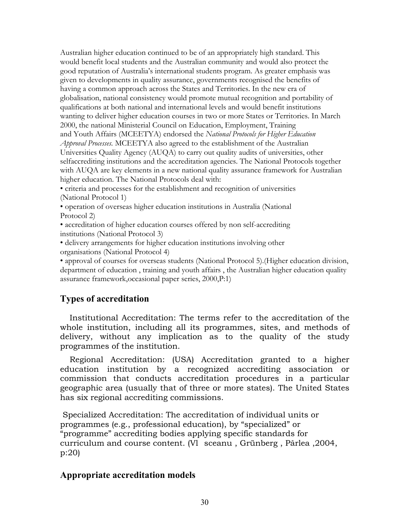Australian higher education continued to be of an appropriately high standard. This would benefit local students and the Australian community and would also protect the good reputation of Australia's international students program. As greater emphasis was given to developments in quality assurance, governments recognised the benefits of having a common approach across the States and Territories. In the new era of globalisation, national consistency would promote mutual recognition and portability of qualifications at both national and international levels and would benefit institutions wanting to deliver higher education courses in two or more States or Territories. In March 2000, the national Ministerial Council on Education, Employment, Training and Youth Affairs (MCEETYA) endorsed the *National Protocols for Higher Education Approval Processes.* MCEETYA also agreed to the establishment of the Australian Universities Quality Agency (AUQA) to carry out quality audits of universities, other selfaccrediting institutions and the accreditation agencies. The National Protocols together with AUQA are key elements in a new national quality assurance framework for Australian higher education. The National Protocols deal with:

• criteria and processes for the establishment and recognition of universities (National Protocol 1)

• operation of overseas higher education institutions in Australia (National Protocol 2)

• accreditation of higher education courses offered by non self-accrediting institutions (National Protocol 3)

• delivery arrangements for higher education institutions involving other organisations (National Protocol 4)

• approval of courses for overseas students (National Protocol 5).(Higher education division, department of education , training and youth affairs , the Australian higher education quality assurance framework,occasional paper series, 2000,P:1)

## **Types of accreditation**

Institutional Accreditation: The terms refer to the accreditation of the whole institution, including all its programmes, sites, and methods of delivery, without any implication as to the quality of the study programmes of the institution.

Regional Accreditation: (USA) Accreditation granted to a higher education institution by a recognized accrediting association or commission that conducts accreditation procedures in a particular geographic area (usually that of three or more states). The United States has six regional accrediting commissions.

Specialized Accreditation: The accreditation of individual units or programmes (e.g., professional education), by "specialized" or "programme" accrediting bodies applying specific standards for curriculum and course content. (Vl sceanu, Grünberg, Pârlea, 2004, p:20)

## **Appropriate accreditation models**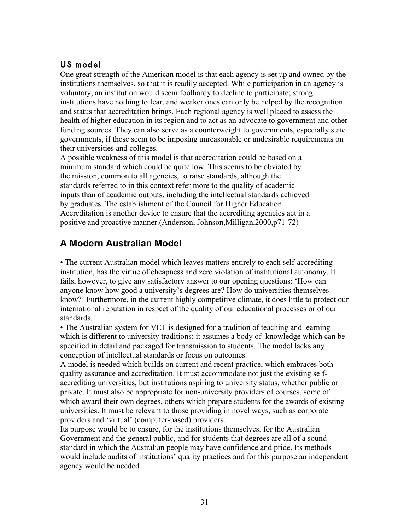## US model

One great strength of the American model is that each agency is set up and owned by the institutions themselves, so that it is readily accepted. While participation in an agency is voluntary, an institution would seem foolhardy to decline to participate; strong institutions have nothing to fear, and weaker ones can only be helped by the recognition and status that accreditation brings. Each regional agency is well placed to assess the health of higher education in its region and to act as an advocate to government and other funding sources. They can also serve as a counterweight to governments, especially state governments, if these seem to be imposing unreasonable or undesirable requirements on their universities and colleges.

A possible weakness of this model is that accreditation could be based on a minimum standard which could be quite low. This seems to be obviated by the mission, common to all agencies, to raise standards, although the standards referred to in this context refer more to the quality of academic inputs than of academic outputs, including the intellectual standards achieved by graduates. The establishment of the Council for Higher Education Accreditation is another device to ensure that the accrediting agencies act in a positive and proactive manner.(Anderson, Johnson,Milligan,2000,p71-72)

## **A Modern Australian Model**

• The current Australian model which leaves matters entirely to each self-accrediting institution, has the virtue of cheapness and zero violation of institutional autonomy. It fails, however, to give any satisfactory answer to our opening questions: 'How can anyone know how good a university's degrees are? How do universities themselves know?' Furthermore, in the current highly competitive climate, it does little to protect our international reputation in respect of the quality of our educational processes or of our standards.

• The Australian system for VET is designed for a tradition of teaching and learning which is different to university traditions: it assumes a body of knowledge which can be specified in detail and packaged for transmission to students. The model lacks any conception of intellectual standards or focus on outcomes.

A model is needed which builds on current and recent practice, which embraces both quality assurance and accreditation. It must accommodate not just the existing selfaccrediting universities, but institutions aspiring to university status, whether public or private. It must also be appropriate for non-university providers of courses, some of which award their own degrees, others which prepare students for the awards of existing universities. It must be relevant to those providing in novel ways, such as corporate providers and 'virtual' (computer-based) providers.

Its purpose would be to ensure, for the institutions themselves, for the Australian Government and the general public, and for students that degrees are all of a sound standard in which the Australian people may have confidence and pride. Its methods would include audits of institutions' quality practices and for this purpose an independent agency would be needed.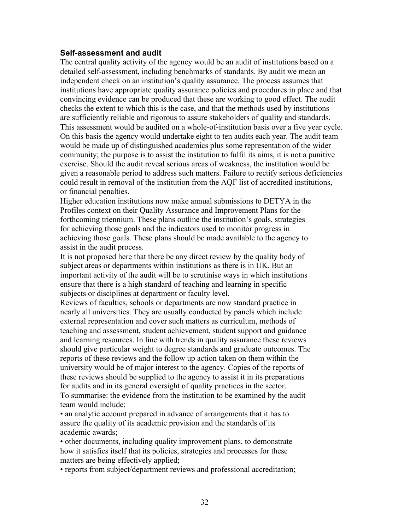#### **Self-assessment and audit**

The central quality activity of the agency would be an audit of institutions based on a detailed self-assessment, including benchmarks of standards. By audit we mean an independent check on an institution's quality assurance. The process assumes that institutions have appropriate quality assurance policies and procedures in place and that convincing evidence can be produced that these are working to good effect. The audit checks the extent to which this is the case, and that the methods used by institutions are sufficiently reliable and rigorous to assure stakeholders of quality and standards. This assessment would be audited on a whole-of-institution basis over a five year cycle. On this basis the agency would undertake eight to ten audits each year. The audit team would be made up of distinguished academics plus some representation of the wider community; the purpose is to assist the institution to fulfil its aims, it is not a punitive exercise. Should the audit reveal serious areas of weakness, the institution would be given a reasonable period to address such matters. Failure to rectify serious deficiencies could result in removal of the institution from the AQF list of accredited institutions, or financial penalties.

Higher education institutions now make annual submissions to DETYA in the Profiles context on their Quality Assurance and Improvement Plans for the forthcoming triennium. These plans outline the institution's goals, strategies for achieving those goals and the indicators used to monitor progress in achieving those goals. These plans should be made available to the agency to assist in the audit process.

It is not proposed here that there be any direct review by the quality body of subject areas or departments within institutions as there is in UK. But an important activity of the audit will be to scrutinise ways in which institutions ensure that there is a high standard of teaching and learning in specific subjects or disciplines at department or faculty level.

Reviews of faculties, schools or departments are now standard practice in nearly all universities. They are usually conducted by panels which include external representation and cover such matters as curriculum, methods of teaching and assessment, student achievement, student support and guidance and learning resources. In line with trends in quality assurance these reviews should give particular weight to degree standards and graduate outcomes. The reports of these reviews and the follow up action taken on them within the university would be of major interest to the agency. Copies of the reports of these reviews should be supplied to the agency to assist it in its preparations for audits and in its general oversight of quality practices in the sector. To summarise: the evidence from the institution to be examined by the audit team would include:

• an analytic account prepared in advance of arrangements that it has to assure the quality of its academic provision and the standards of its academic awards;

• other documents, including quality improvement plans, to demonstrate how it satisfies itself that its policies, strategies and processes for these matters are being effectively applied;

• reports from subject/department reviews and professional accreditation;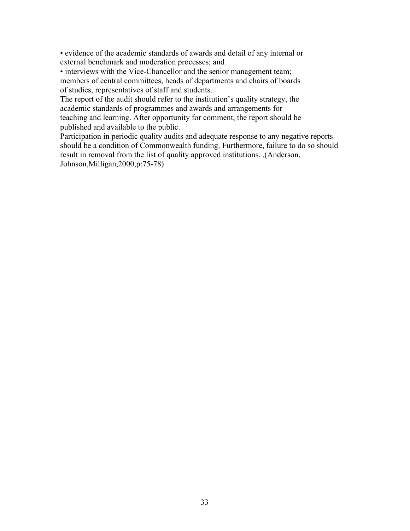• evidence of the academic standards of awards and detail of any internal or external benchmark and moderation processes; and

• interviews with the Vice-Chancellor and the senior management team; members of central committees, heads of departments and chairs of boards of studies, representatives of staff and students.

The report of the audit should refer to the institution's quality strategy, the academic standards of programmes and awards and arrangements for teaching and learning. After opportunity for comment, the report should be published and available to the public.

Participation in periodic quality audits and adequate response to any negative reports should be a condition of Commonwealth funding. Furthermore, failure to do so should result in removal from the list of quality approved institutions. .(Anderson, Johnson,Milligan,2000,p:75-78)